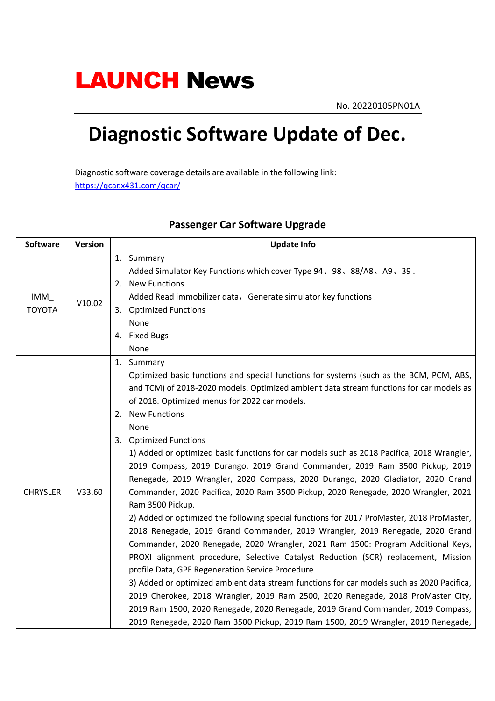## **LAUNCH News**

No. 20220105PN01A

## **Diagnostic Software Update of Dec.**

Diagnostic software coverage details are available in the following link: https://qcar.x431.com/qcar/

| <b>Software</b> | <b>Version</b> | <b>Update Info</b>                                                                         |
|-----------------|----------------|--------------------------------------------------------------------------------------------|
|                 |                | 1. Summary                                                                                 |
|                 |                | Added Simulator Key Functions which cover Type 94、98、88/A8、A9、39.                          |
|                 | V10.02         | 2. New Functions                                                                           |
| IMM             |                | Added Read immobilizer data, Generate simulator key functions.                             |
| <b>TOYOTA</b>   |                | 3. Optimized Functions                                                                     |
|                 |                | None                                                                                       |
|                 |                | 4. Fixed Bugs                                                                              |
|                 |                | None                                                                                       |
|                 |                | 1. Summary                                                                                 |
|                 |                | Optimized basic functions and special functions for systems (such as the BCM, PCM, ABS,    |
|                 |                | and TCM) of 2018-2020 models. Optimized ambient data stream functions for car models as    |
|                 | V33.60         | of 2018. Optimized menus for 2022 car models.                                              |
|                 |                | 2. New Functions                                                                           |
|                 |                | None                                                                                       |
|                 |                | 3. Optimized Functions                                                                     |
|                 |                | 1) Added or optimized basic functions for car models such as 2018 Pacifica, 2018 Wrangler, |
|                 |                | 2019 Compass, 2019 Durango, 2019 Grand Commander, 2019 Ram 3500 Pickup, 2019               |
|                 |                | Renegade, 2019 Wrangler, 2020 Compass, 2020 Durango, 2020 Gladiator, 2020 Grand            |
| <b>CHRYSLER</b> |                | Commander, 2020 Pacifica, 2020 Ram 3500 Pickup, 2020 Renegade, 2020 Wrangler, 2021         |
|                 |                | Ram 3500 Pickup.                                                                           |
|                 |                | 2) Added or optimized the following special functions for 2017 ProMaster, 2018 ProMaster,  |
|                 |                | 2018 Renegade, 2019 Grand Commander, 2019 Wrangler, 2019 Renegade, 2020 Grand              |
|                 |                | Commander, 2020 Renegade, 2020 Wrangler, 2021 Ram 1500: Program Additional Keys,           |
|                 |                | PROXI alignment procedure, Selective Catalyst Reduction (SCR) replacement, Mission         |
|                 |                | profile Data, GPF Regeneration Service Procedure                                           |
|                 |                | 3) Added or optimized ambient data stream functions for car models such as 2020 Pacifica,  |
|                 |                | 2019 Cherokee, 2018 Wrangler, 2019 Ram 2500, 2020 Renegade, 2018 ProMaster City,           |
|                 |                | 2019 Ram 1500, 2020 Renegade, 2020 Renegade, 2019 Grand Commander, 2019 Compass,           |
|                 |                | 2019 Renegade, 2020 Ram 3500 Pickup, 2019 Ram 1500, 2019 Wrangler, 2019 Renegade,          |

## **Passenger Car Software Upgrade**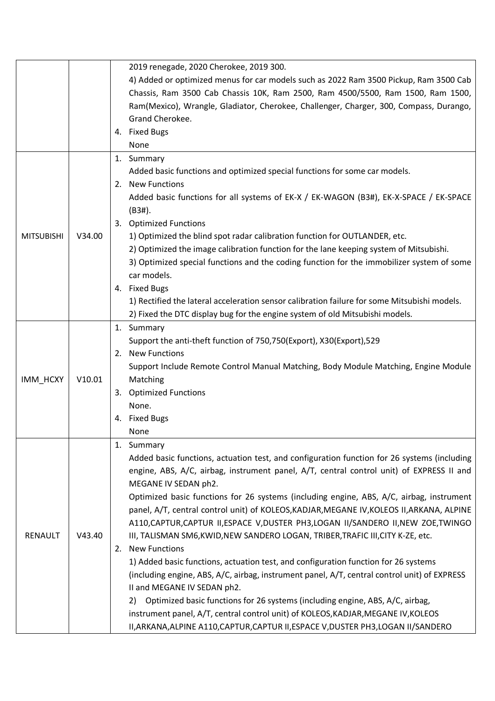|                   |        | 2019 renegade, 2020 Cherokee, 2019 300.                                                      |
|-------------------|--------|----------------------------------------------------------------------------------------------|
|                   |        | 4) Added or optimized menus for car models such as 2022 Ram 3500 Pickup, Ram 3500 Cab        |
|                   |        | Chassis, Ram 3500 Cab Chassis 10K, Ram 2500, Ram 4500/5500, Ram 1500, Ram 1500,              |
|                   |        | Ram(Mexico), Wrangle, Gladiator, Cherokee, Challenger, Charger, 300, Compass, Durango,       |
|                   |        | Grand Cherokee.                                                                              |
|                   |        | 4. Fixed Bugs                                                                                |
|                   |        | None                                                                                         |
|                   |        | 1. Summary                                                                                   |
|                   |        | Added basic functions and optimized special functions for some car models.                   |
|                   |        | <b>New Functions</b><br>2.                                                                   |
|                   |        | Added basic functions for all systems of EK-X / EK-WAGON (B3#), EK-X-SPACE / EK-SPACE        |
|                   |        | (B3#).                                                                                       |
|                   |        | 3. Optimized Functions                                                                       |
| <b>MITSUBISHI</b> | V34.00 | 1) Optimized the blind spot radar calibration function for OUTLANDER, etc.                   |
|                   |        | 2) Optimized the image calibration function for the lane keeping system of Mitsubishi.       |
|                   |        | 3) Optimized special functions and the coding function for the immobilizer system of some    |
|                   |        | car models.                                                                                  |
|                   |        | 4. Fixed Bugs                                                                                |
|                   |        | 1) Rectified the lateral acceleration sensor calibration failure for some Mitsubishi models. |
|                   |        | 2) Fixed the DTC display bug for the engine system of old Mitsubishi models.                 |
|                   |        | 1. Summary                                                                                   |
|                   |        | Support the anti-theft function of 750,750(Export), X30(Export),529                          |
|                   |        | <b>New Functions</b><br>2.                                                                   |
|                   |        | Support Include Remote Control Manual Matching, Body Module Matching, Engine Module          |
| IMM_HCXY          | V10.01 | Matching                                                                                     |
|                   |        | 3. Optimized Functions                                                                       |
|                   |        | None.                                                                                        |
|                   |        | <b>Fixed Bugs</b><br>4.                                                                      |
|                   |        | None                                                                                         |
|                   |        | 1.<br>Summary                                                                                |
|                   |        | Added basic functions, actuation test, and configuration function for 26 systems (including  |
|                   |        | engine, ABS, A/C, airbag, instrument panel, A/T, central control unit) of EXPRESS II and     |
|                   |        | MEGANE IV SEDAN ph2.                                                                         |
|                   |        | Optimized basic functions for 26 systems (including engine, ABS, A/C, airbag, instrument     |
|                   |        | panel, A/T, central control unit) of KOLEOS, KADJAR, MEGANE IV, KOLEOS II, ARKANA, ALPINE    |
|                   |        | A110, CAPTUR, CAPTUR II, ESPACE V, DUSTER PH3, LOGAN II/SANDERO II, NEW ZOE, TWINGO          |
| RENAULT           | V43.40 | III, TALISMAN SM6, KWID, NEW SANDERO LOGAN, TRIBER, TRAFIC III, CITY K-ZE, etc.              |
|                   |        | <b>New Functions</b><br>2.                                                                   |
|                   |        | 1) Added basic functions, actuation test, and configuration function for 26 systems          |
|                   |        | (including engine, ABS, A/C, airbag, instrument panel, A/T, central control unit) of EXPRESS |
|                   |        | II and MEGANE IV SEDAN ph2.                                                                  |
|                   |        | Optimized basic functions for 26 systems (including engine, ABS, A/C, airbag,<br>2)          |
|                   |        | instrument panel, A/T, central control unit) of KOLEOS, KADJAR, MEGANE IV, KOLEOS            |
|                   |        | II, ARKANA, ALPINE A110, CAPTUR, CAPTUR II, ESPACE V, DUSTER PH3, LOGAN II/SANDERO           |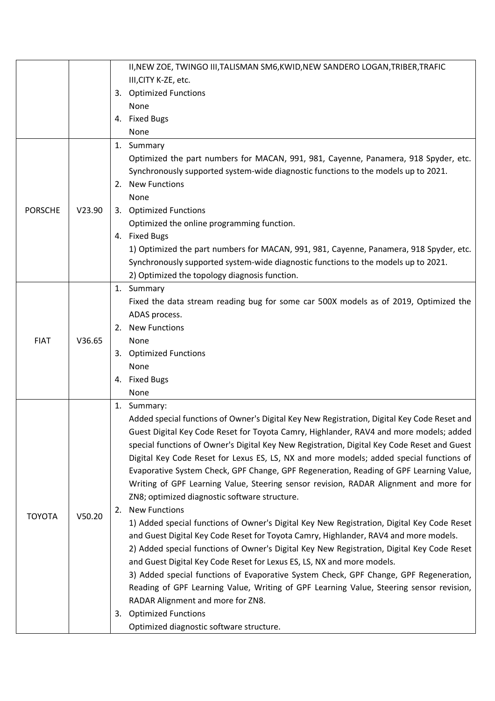|                |        | II, NEW ZOE, TWINGO III, TALISMAN SM6, KWID, NEW SANDERO LOGAN, TRIBER, TRAFIC              |
|----------------|--------|---------------------------------------------------------------------------------------------|
|                |        | III, CITY K-ZE, etc.                                                                        |
|                |        | 3. Optimized Functions                                                                      |
|                |        | None                                                                                        |
|                |        | 4. Fixed Bugs                                                                               |
|                |        | None                                                                                        |
|                |        | 1. Summary                                                                                  |
|                |        | Optimized the part numbers for MACAN, 991, 981, Cayenne, Panamera, 918 Spyder, etc.         |
|                |        | Synchronously supported system-wide diagnostic functions to the models up to 2021.          |
|                |        | <b>New Functions</b><br>2.                                                                  |
|                |        | None                                                                                        |
| <b>PORSCHE</b> | V23.90 | 3. Optimized Functions                                                                      |
|                |        | Optimized the online programming function.                                                  |
|                |        | 4. Fixed Bugs                                                                               |
|                |        | 1) Optimized the part numbers for MACAN, 991, 981, Cayenne, Panamera, 918 Spyder, etc.      |
|                |        | Synchronously supported system-wide diagnostic functions to the models up to 2021.          |
|                |        | 2) Optimized the topology diagnosis function.                                               |
|                |        | 1. Summary                                                                                  |
|                |        | Fixed the data stream reading bug for some car 500X models as of 2019, Optimized the        |
|                |        | ADAS process.                                                                               |
|                | V36.65 | 2. New Functions                                                                            |
| <b>FIAT</b>    |        | None                                                                                        |
|                |        | 3. Optimized Functions                                                                      |
|                |        | None                                                                                        |
|                |        | 4. Fixed Bugs                                                                               |
|                |        | None                                                                                        |
|                |        | 1. Summary:                                                                                 |
|                |        | Added special functions of Owner's Digital Key New Registration, Digital Key Code Reset and |
|                |        | Guest Digital Key Code Reset for Toyota Camry, Highlander, RAV4 and more models; added      |
|                |        | special functions of Owner's Digital Key New Registration, Digital Key Code Reset and Guest |
|                |        | Digital Key Code Reset for Lexus ES, LS, NX and more models; added special functions of     |
|                |        | Evaporative System Check, GPF Change, GPF Regeneration, Reading of GPF Learning Value,      |
|                |        | Writing of GPF Learning Value, Steering sensor revision, RADAR Alignment and more for       |
|                |        | ZN8; optimized diagnostic software structure.                                               |
|                |        | <b>New Functions</b><br>2.                                                                  |
| <b>TOYOTA</b>  | V50.20 | 1) Added special functions of Owner's Digital Key New Registration, Digital Key Code Reset  |
|                |        | and Guest Digital Key Code Reset for Toyota Camry, Highlander, RAV4 and more models.        |
|                |        | 2) Added special functions of Owner's Digital Key New Registration, Digital Key Code Reset  |
|                |        | and Guest Digital Key Code Reset for Lexus ES, LS, NX and more models.                      |
|                |        | 3) Added special functions of Evaporative System Check, GPF Change, GPF Regeneration,       |
|                |        | Reading of GPF Learning Value, Writing of GPF Learning Value, Steering sensor revision,     |
|                |        | RADAR Alignment and more for ZN8.                                                           |
|                |        | <b>Optimized Functions</b>                                                                  |
|                |        | 3.                                                                                          |
|                |        | Optimized diagnostic software structure.                                                    |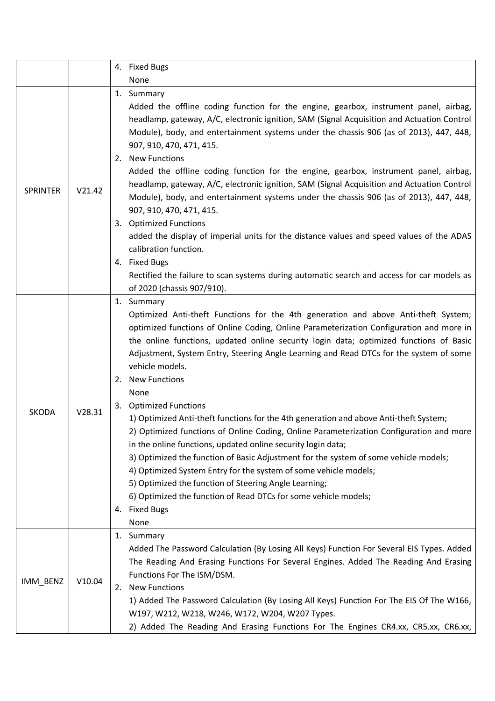|                 |        | 4. Fixed Bugs                                                                                                                                                                                                                                                                                                                                                                                                                                                                                                                                                                                                                                                                                                                                                                                                                                                                                                                                                                                                                           |
|-----------------|--------|-----------------------------------------------------------------------------------------------------------------------------------------------------------------------------------------------------------------------------------------------------------------------------------------------------------------------------------------------------------------------------------------------------------------------------------------------------------------------------------------------------------------------------------------------------------------------------------------------------------------------------------------------------------------------------------------------------------------------------------------------------------------------------------------------------------------------------------------------------------------------------------------------------------------------------------------------------------------------------------------------------------------------------------------|
|                 |        | None                                                                                                                                                                                                                                                                                                                                                                                                                                                                                                                                                                                                                                                                                                                                                                                                                                                                                                                                                                                                                                    |
| <b>SPRINTER</b> | V21.42 | 1. Summary                                                                                                                                                                                                                                                                                                                                                                                                                                                                                                                                                                                                                                                                                                                                                                                                                                                                                                                                                                                                                              |
|                 |        | Added the offline coding function for the engine, gearbox, instrument panel, airbag,<br>headlamp, gateway, A/C, electronic ignition, SAM (Signal Acquisition and Actuation Control<br>Module), body, and entertainment systems under the chassis 906 (as of 2013), 447, 448,<br>907, 910, 470, 471, 415.<br>2. New Functions                                                                                                                                                                                                                                                                                                                                                                                                                                                                                                                                                                                                                                                                                                            |
|                 |        | Added the offline coding function for the engine, gearbox, instrument panel, airbag,<br>headlamp, gateway, A/C, electronic ignition, SAM (Signal Acquisition and Actuation Control<br>Module), body, and entertainment systems under the chassis 906 (as of 2013), 447, 448,                                                                                                                                                                                                                                                                                                                                                                                                                                                                                                                                                                                                                                                                                                                                                            |
|                 |        | 907, 910, 470, 471, 415.<br>3. Optimized Functions                                                                                                                                                                                                                                                                                                                                                                                                                                                                                                                                                                                                                                                                                                                                                                                                                                                                                                                                                                                      |
|                 |        | added the display of imperial units for the distance values and speed values of the ADAS<br>calibration function.                                                                                                                                                                                                                                                                                                                                                                                                                                                                                                                                                                                                                                                                                                                                                                                                                                                                                                                       |
|                 |        | 4. Fixed Bugs<br>Rectified the failure to scan systems during automatic search and access for car models as<br>of 2020 (chassis 907/910).                                                                                                                                                                                                                                                                                                                                                                                                                                                                                                                                                                                                                                                                                                                                                                                                                                                                                               |
| <b>SKODA</b>    | V28.31 | 1. Summary<br>Optimized Anti-theft Functions for the 4th generation and above Anti-theft System;<br>optimized functions of Online Coding, Online Parameterization Configuration and more in<br>the online functions, updated online security login data; optimized functions of Basic<br>Adjustment, System Entry, Steering Angle Learning and Read DTCs for the system of some<br>vehicle models.<br>2. New Functions<br>None<br>3. Optimized Functions<br>1) Optimized Anti-theft functions for the 4th generation and above Anti-theft System;<br>2) Optimized functions of Online Coding, Online Parameterization Configuration and more<br>in the online functions, updated online security login data;<br>3) Optimized the function of Basic Adjustment for the system of some vehicle models;<br>4) Optimized System Entry for the system of some vehicle models;<br>5) Optimized the function of Steering Angle Learning;<br>6) Optimized the function of Read DTCs for some vehicle models;<br><b>Fixed Bugs</b><br>4.<br>None |
| IMM_BENZ        | V10.04 | Summary<br>1.<br>Added The Password Calculation (By Losing All Keys) Function For Several EIS Types. Added<br>The Reading And Erasing Functions For Several Engines. Added The Reading And Erasing<br>Functions For The ISM/DSM.<br><b>New Functions</b><br>2.<br>1) Added The Password Calculation (By Losing All Keys) Function For The EIS Of The W166,<br>W197, W212, W218, W246, W172, W204, W207 Types.<br>2) Added The Reading And Erasing Functions For The Engines CR4.xx, CR5.xx, CR6.xx,                                                                                                                                                                                                                                                                                                                                                                                                                                                                                                                                     |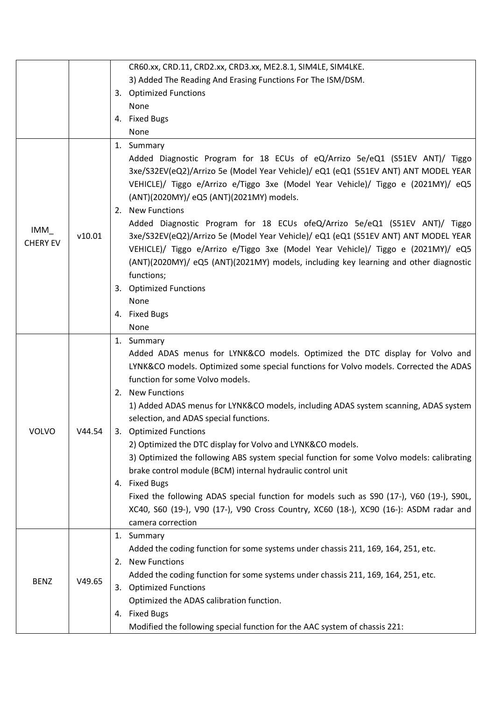|                        |        | CR60.xx, CRD.11, CRD2.xx, CRD3.xx, ME2.8.1, SIM4LE, SIM4LKE.                                                                                                                                                                                                                                                                                                                                                                                                                                                                                                                                                                                                                                                                                                                                                                                                                  |
|------------------------|--------|-------------------------------------------------------------------------------------------------------------------------------------------------------------------------------------------------------------------------------------------------------------------------------------------------------------------------------------------------------------------------------------------------------------------------------------------------------------------------------------------------------------------------------------------------------------------------------------------------------------------------------------------------------------------------------------------------------------------------------------------------------------------------------------------------------------------------------------------------------------------------------|
|                        |        | 3) Added The Reading And Erasing Functions For The ISM/DSM.                                                                                                                                                                                                                                                                                                                                                                                                                                                                                                                                                                                                                                                                                                                                                                                                                   |
|                        |        | 3. Optimized Functions                                                                                                                                                                                                                                                                                                                                                                                                                                                                                                                                                                                                                                                                                                                                                                                                                                                        |
|                        |        | None                                                                                                                                                                                                                                                                                                                                                                                                                                                                                                                                                                                                                                                                                                                                                                                                                                                                          |
|                        |        | 4. Fixed Bugs                                                                                                                                                                                                                                                                                                                                                                                                                                                                                                                                                                                                                                                                                                                                                                                                                                                                 |
|                        |        | None                                                                                                                                                                                                                                                                                                                                                                                                                                                                                                                                                                                                                                                                                                                                                                                                                                                                          |
|                        |        | 1. Summary                                                                                                                                                                                                                                                                                                                                                                                                                                                                                                                                                                                                                                                                                                                                                                                                                                                                    |
| IMM<br><b>CHERY EV</b> | v10.01 | Added Diagnostic Program for 18 ECUs of eQ/Arrizo 5e/eQ1 (S51EV ANT)/ Tiggo<br>3xe/S32EV(eQ2)/Arrizo 5e (Model Year Vehicle)/ eQ1 (eQ1 (S51EV ANT) ANT MODEL YEAR<br>VEHICLE)/ Tiggo e/Arrizo e/Tiggo 3xe (Model Year Vehicle)/ Tiggo e (2021MY)/ eQ5<br>(ANT)(2020MY)/ eQ5 (ANT)(2021MY) models.<br>2. New Functions<br>Added Diagnostic Program for 18 ECUs ofeQ/Arrizo 5e/eQ1 (S51EV ANT)/ Tiggo<br>3xe/S32EV(eQ2)/Arrizo 5e (Model Year Vehicle)/ eQ1 (eQ1 (S51EV ANT) ANT MODEL YEAR<br>VEHICLE)/ Tiggo e/Arrizo e/Tiggo 3xe (Model Year Vehicle)/ Tiggo e (2021MY)/ eQ5<br>(ANT)(2020MY)/ eQ5 (ANT)(2021MY) models, including key learning and other diagnostic<br>functions;<br><b>Optimized Functions</b><br>3.<br>None<br>4. Fixed Bugs                                                                                                                              |
|                        |        | None                                                                                                                                                                                                                                                                                                                                                                                                                                                                                                                                                                                                                                                                                                                                                                                                                                                                          |
| VOLVO                  | V44.54 | 1. Summary<br>Added ADAS menus for LYNK&CO models. Optimized the DTC display for Volvo and<br>LYNK&CO models. Optimized some special functions for Volvo models. Corrected the ADAS<br>function for some Volvo models.<br>2. New Functions<br>1) Added ADAS menus for LYNK&CO models, including ADAS system scanning, ADAS system<br>selection, and ADAS special functions.<br><b>Optimized Functions</b><br>3.<br>2) Optimized the DTC display for Volvo and LYNK&CO models.<br>3) Optimized the following ABS system special function for some Volvo models: calibrating<br>brake control module (BCM) internal hydraulic control unit<br><b>Fixed Bugs</b><br>4.<br>Fixed the following ADAS special function for models such as S90 (17-), V60 (19-), S90L,<br>XC40, S60 (19-), V90 (17-), V90 Cross Country, XC60 (18-), XC90 (16-): ASDM radar and<br>camera correction |
| <b>BENZ</b>            | V49.65 | 1. Summary<br>Added the coding function for some systems under chassis 211, 169, 164, 251, etc.<br><b>New Functions</b><br>2.<br>Added the coding function for some systems under chassis 211, 169, 164, 251, etc.<br>3. Optimized Functions<br>Optimized the ADAS calibration function.<br>4. Fixed Bugs<br>Modified the following special function for the AAC system of chassis 221:                                                                                                                                                                                                                                                                                                                                                                                                                                                                                       |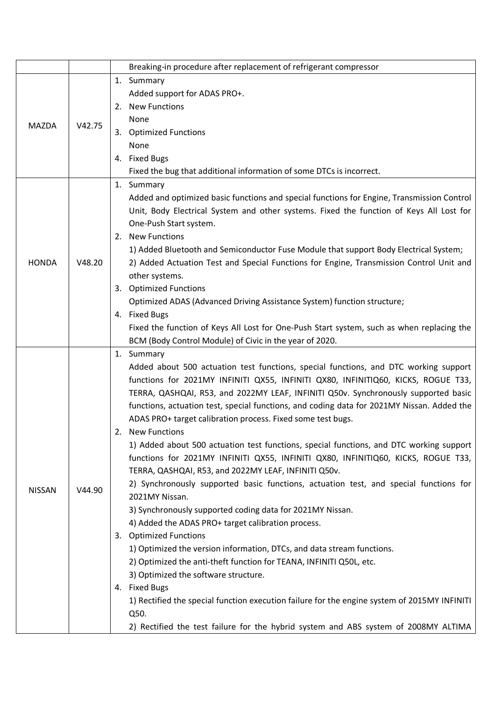|               |        | Breaking-in procedure after replacement of refrigerant compressor                                                                                                                                                                                                                                                                                                                                                                                                                                                                                                                                                                                                                                                                                                                                                                                                                                                                                                                                                                                                                                                                                                  |
|---------------|--------|--------------------------------------------------------------------------------------------------------------------------------------------------------------------------------------------------------------------------------------------------------------------------------------------------------------------------------------------------------------------------------------------------------------------------------------------------------------------------------------------------------------------------------------------------------------------------------------------------------------------------------------------------------------------------------------------------------------------------------------------------------------------------------------------------------------------------------------------------------------------------------------------------------------------------------------------------------------------------------------------------------------------------------------------------------------------------------------------------------------------------------------------------------------------|
| <b>MAZDA</b>  |        | 1. Summary                                                                                                                                                                                                                                                                                                                                                                                                                                                                                                                                                                                                                                                                                                                                                                                                                                                                                                                                                                                                                                                                                                                                                         |
|               |        | Added support for ADAS PRO+.                                                                                                                                                                                                                                                                                                                                                                                                                                                                                                                                                                                                                                                                                                                                                                                                                                                                                                                                                                                                                                                                                                                                       |
|               |        | <b>New Functions</b><br>2.                                                                                                                                                                                                                                                                                                                                                                                                                                                                                                                                                                                                                                                                                                                                                                                                                                                                                                                                                                                                                                                                                                                                         |
|               |        | None                                                                                                                                                                                                                                                                                                                                                                                                                                                                                                                                                                                                                                                                                                                                                                                                                                                                                                                                                                                                                                                                                                                                                               |
|               | V42.75 | 3. Optimized Functions                                                                                                                                                                                                                                                                                                                                                                                                                                                                                                                                                                                                                                                                                                                                                                                                                                                                                                                                                                                                                                                                                                                                             |
|               |        | None                                                                                                                                                                                                                                                                                                                                                                                                                                                                                                                                                                                                                                                                                                                                                                                                                                                                                                                                                                                                                                                                                                                                                               |
|               |        | 4. Fixed Bugs                                                                                                                                                                                                                                                                                                                                                                                                                                                                                                                                                                                                                                                                                                                                                                                                                                                                                                                                                                                                                                                                                                                                                      |
|               |        | Fixed the bug that additional information of some DTCs is incorrect.                                                                                                                                                                                                                                                                                                                                                                                                                                                                                                                                                                                                                                                                                                                                                                                                                                                                                                                                                                                                                                                                                               |
|               |        | 1. Summary                                                                                                                                                                                                                                                                                                                                                                                                                                                                                                                                                                                                                                                                                                                                                                                                                                                                                                                                                                                                                                                                                                                                                         |
|               |        | Added and optimized basic functions and special functions for Engine, Transmission Control                                                                                                                                                                                                                                                                                                                                                                                                                                                                                                                                                                                                                                                                                                                                                                                                                                                                                                                                                                                                                                                                         |
|               |        | Unit, Body Electrical System and other systems. Fixed the function of Keys All Lost for                                                                                                                                                                                                                                                                                                                                                                                                                                                                                                                                                                                                                                                                                                                                                                                                                                                                                                                                                                                                                                                                            |
|               |        | One-Push Start system.                                                                                                                                                                                                                                                                                                                                                                                                                                                                                                                                                                                                                                                                                                                                                                                                                                                                                                                                                                                                                                                                                                                                             |
|               |        | <b>New Functions</b><br>2.                                                                                                                                                                                                                                                                                                                                                                                                                                                                                                                                                                                                                                                                                                                                                                                                                                                                                                                                                                                                                                                                                                                                         |
|               |        | 1) Added Bluetooth and Semiconductor Fuse Module that support Body Electrical System;                                                                                                                                                                                                                                                                                                                                                                                                                                                                                                                                                                                                                                                                                                                                                                                                                                                                                                                                                                                                                                                                              |
| <b>HONDA</b>  | V48.20 | 2) Added Actuation Test and Special Functions for Engine, Transmission Control Unit and                                                                                                                                                                                                                                                                                                                                                                                                                                                                                                                                                                                                                                                                                                                                                                                                                                                                                                                                                                                                                                                                            |
|               |        | other systems.                                                                                                                                                                                                                                                                                                                                                                                                                                                                                                                                                                                                                                                                                                                                                                                                                                                                                                                                                                                                                                                                                                                                                     |
|               |        | 3. Optimized Functions                                                                                                                                                                                                                                                                                                                                                                                                                                                                                                                                                                                                                                                                                                                                                                                                                                                                                                                                                                                                                                                                                                                                             |
|               |        | Optimized ADAS (Advanced Driving Assistance System) function structure;                                                                                                                                                                                                                                                                                                                                                                                                                                                                                                                                                                                                                                                                                                                                                                                                                                                                                                                                                                                                                                                                                            |
|               |        | 4. Fixed Bugs                                                                                                                                                                                                                                                                                                                                                                                                                                                                                                                                                                                                                                                                                                                                                                                                                                                                                                                                                                                                                                                                                                                                                      |
|               |        | Fixed the function of Keys All Lost for One-Push Start system, such as when replacing the                                                                                                                                                                                                                                                                                                                                                                                                                                                                                                                                                                                                                                                                                                                                                                                                                                                                                                                                                                                                                                                                          |
|               |        | BCM (Body Control Module) of Civic in the year of 2020.                                                                                                                                                                                                                                                                                                                                                                                                                                                                                                                                                                                                                                                                                                                                                                                                                                                                                                                                                                                                                                                                                                            |
|               |        | 1. Summary                                                                                                                                                                                                                                                                                                                                                                                                                                                                                                                                                                                                                                                                                                                                                                                                                                                                                                                                                                                                                                                                                                                                                         |
|               |        | Added about 500 actuation test functions, special functions, and DTC working support                                                                                                                                                                                                                                                                                                                                                                                                                                                                                                                                                                                                                                                                                                                                                                                                                                                                                                                                                                                                                                                                               |
|               |        | functions for 2021MY INFINITI QX55, INFINITI QX80, INFINITIQ60, KICKS, ROGUE T33,                                                                                                                                                                                                                                                                                                                                                                                                                                                                                                                                                                                                                                                                                                                                                                                                                                                                                                                                                                                                                                                                                  |
|               | V44.90 |                                                                                                                                                                                                                                                                                                                                                                                                                                                                                                                                                                                                                                                                                                                                                                                                                                                                                                                                                                                                                                                                                                                                                                    |
|               |        |                                                                                                                                                                                                                                                                                                                                                                                                                                                                                                                                                                                                                                                                                                                                                                                                                                                                                                                                                                                                                                                                                                                                                                    |
|               |        |                                                                                                                                                                                                                                                                                                                                                                                                                                                                                                                                                                                                                                                                                                                                                                                                                                                                                                                                                                                                                                                                                                                                                                    |
|               |        | 2<br>New Functions                                                                                                                                                                                                                                                                                                                                                                                                                                                                                                                                                                                                                                                                                                                                                                                                                                                                                                                                                                                                                                                                                                                                                 |
|               |        |                                                                                                                                                                                                                                                                                                                                                                                                                                                                                                                                                                                                                                                                                                                                                                                                                                                                                                                                                                                                                                                                                                                                                                    |
|               |        |                                                                                                                                                                                                                                                                                                                                                                                                                                                                                                                                                                                                                                                                                                                                                                                                                                                                                                                                                                                                                                                                                                                                                                    |
|               |        |                                                                                                                                                                                                                                                                                                                                                                                                                                                                                                                                                                                                                                                                                                                                                                                                                                                                                                                                                                                                                                                                                                                                                                    |
|               |        |                                                                                                                                                                                                                                                                                                                                                                                                                                                                                                                                                                                                                                                                                                                                                                                                                                                                                                                                                                                                                                                                                                                                                                    |
| <b>NISSAN</b> |        |                                                                                                                                                                                                                                                                                                                                                                                                                                                                                                                                                                                                                                                                                                                                                                                                                                                                                                                                                                                                                                                                                                                                                                    |
|               |        |                                                                                                                                                                                                                                                                                                                                                                                                                                                                                                                                                                                                                                                                                                                                                                                                                                                                                                                                                                                                                                                                                                                                                                    |
|               |        |                                                                                                                                                                                                                                                                                                                                                                                                                                                                                                                                                                                                                                                                                                                                                                                                                                                                                                                                                                                                                                                                                                                                                                    |
|               |        |                                                                                                                                                                                                                                                                                                                                                                                                                                                                                                                                                                                                                                                                                                                                                                                                                                                                                                                                                                                                                                                                                                                                                                    |
|               |        |                                                                                                                                                                                                                                                                                                                                                                                                                                                                                                                                                                                                                                                                                                                                                                                                                                                                                                                                                                                                                                                                                                                                                                    |
|               |        |                                                                                                                                                                                                                                                                                                                                                                                                                                                                                                                                                                                                                                                                                                                                                                                                                                                                                                                                                                                                                                                                                                                                                                    |
|               |        |                                                                                                                                                                                                                                                                                                                                                                                                                                                                                                                                                                                                                                                                                                                                                                                                                                                                                                                                                                                                                                                                                                                                                                    |
|               |        |                                                                                                                                                                                                                                                                                                                                                                                                                                                                                                                                                                                                                                                                                                                                                                                                                                                                                                                                                                                                                                                                                                                                                                    |
|               |        |                                                                                                                                                                                                                                                                                                                                                                                                                                                                                                                                                                                                                                                                                                                                                                                                                                                                                                                                                                                                                                                                                                                                                                    |
|               |        |                                                                                                                                                                                                                                                                                                                                                                                                                                                                                                                                                                                                                                                                                                                                                                                                                                                                                                                                                                                                                                                                                                                                                                    |
|               |        |                                                                                                                                                                                                                                                                                                                                                                                                                                                                                                                                                                                                                                                                                                                                                                                                                                                                                                                                                                                                                                                                                                                                                                    |
|               |        | TERRA, QASHQAI, R53, and 2022MY LEAF, INFINITI Q50v. Synchronously supported basic<br>functions, actuation test, special functions, and coding data for 2021MY Nissan. Added the<br>ADAS PRO+ target calibration process. Fixed some test bugs.<br>1) Added about 500 actuation test functions, special functions, and DTC working support<br>functions for 2021MY INFINITI QX55, INFINITI QX80, INFINITIQ60, KICKS, ROGUE T33,<br>TERRA, QASHQAI, R53, and 2022MY LEAF, INFINITI Q50v.<br>2) Synchronously supported basic functions, actuation test, and special functions for<br>2021MY Nissan.<br>3) Synchronously supported coding data for 2021MY Nissan.<br>4) Added the ADAS PRO+ target calibration process.<br><b>Optimized Functions</b><br>3.<br>1) Optimized the version information, DTCs, and data stream functions.<br>2) Optimized the anti-theft function for TEANA, INFINITI Q50L, etc.<br>3) Optimized the software structure.<br>4. Fixed Bugs<br>1) Rectified the special function execution failure for the engine system of 2015MY INFINITI<br>Q50.<br>2) Rectified the test failure for the hybrid system and ABS system of 2008MY ALTIMA |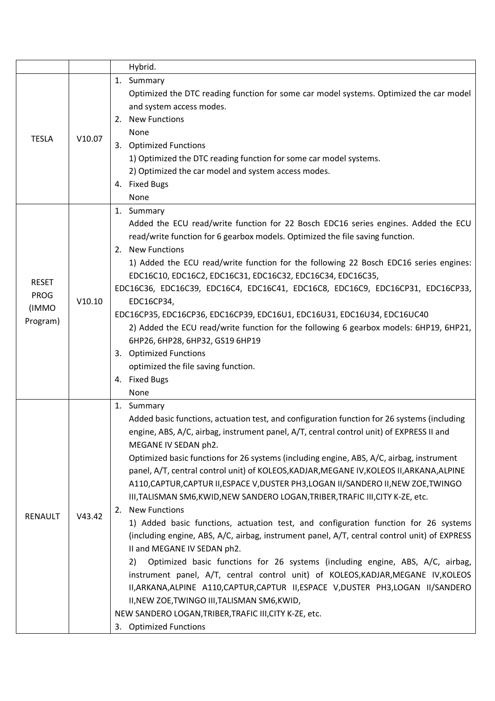|                |        | Hybrid.                                                                                      |
|----------------|--------|----------------------------------------------------------------------------------------------|
|                |        | 1. Summary                                                                                   |
| <b>TESLA</b>   |        | Optimized the DTC reading function for some car model systems. Optimized the car model       |
|                |        | and system access modes.                                                                     |
|                |        | 2. New Functions                                                                             |
|                | V10.07 | None                                                                                         |
|                |        | 3. Optimized Functions                                                                       |
|                |        | 1) Optimized the DTC reading function for some car model systems.                            |
|                |        | 2) Optimized the car model and system access modes.                                          |
|                |        | 4. Fixed Bugs                                                                                |
|                |        | None                                                                                         |
|                |        | 1. Summary                                                                                   |
|                |        | Added the ECU read/write function for 22 Bosch EDC16 series engines. Added the ECU           |
|                |        | read/write function for 6 gearbox models. Optimized the file saving function.                |
|                |        | 2. New Functions                                                                             |
|                |        | 1) Added the ECU read/write function for the following 22 Bosch EDC16 series engines:        |
| <b>RESET</b>   |        | EDC16C10, EDC16C2, EDC16C31, EDC16C32, EDC16C34, EDC16C35,                                   |
| <b>PROG</b>    |        | EDC16C36, EDC16C39, EDC16C4, EDC16C41, EDC16C8, EDC16C9, EDC16CP31, EDC16CP33,               |
| (IMMO          | V10.10 | EDC16CP34,                                                                                   |
| Program)       |        | EDC16CP35, EDC16CP36, EDC16CP39, EDC16U1, EDC16U31, EDC16U34, EDC16UC40                      |
|                |        | 2) Added the ECU read/write function for the following 6 gearbox models: 6HP19, 6HP21,       |
|                |        | 6HP26, 6HP28, 6HP32, GS19 6HP19                                                              |
|                |        | 3. Optimized Functions                                                                       |
|                |        | optimized the file saving function.                                                          |
|                |        | 4. Fixed Bugs                                                                                |
|                |        | None                                                                                         |
|                |        | 1. Summary                                                                                   |
|                | V43.42 | Added basic functions, actuation test, and configuration function for 26 systems (including  |
|                |        | engine, ABS, A/C, airbag, instrument panel, A/T, central control unit) of EXPRESS II and     |
|                |        | MEGANE IV SEDAN ph2.                                                                         |
|                |        | Optimized basic functions for 26 systems (including engine, ABS, A/C, airbag, instrument     |
|                |        | panel, A/T, central control unit) of KOLEOS, KADJAR, MEGANE IV, KOLEOS II, ARKANA, ALPINE    |
|                |        | A110, CAPTUR, CAPTUR II, ESPACE V, DUSTER PH3, LOGAN II/SANDERO II, NEW ZOE, TWINGO          |
|                |        | III, TALISMAN SM6, KWID, NEW SANDERO LOGAN, TRIBER, TRAFIC III, CITY K-ZE, etc.              |
| <b>RENAULT</b> |        | <b>New Functions</b><br>2.                                                                   |
|                |        | 1) Added basic functions, actuation test, and configuration function for 26 systems          |
|                |        | (including engine, ABS, A/C, airbag, instrument panel, A/T, central control unit) of EXPRESS |
|                |        | II and MEGANE IV SEDAN ph2.                                                                  |
|                |        | Optimized basic functions for 26 systems (including engine, ABS, A/C, airbag,<br>2)          |
|                |        | instrument panel, A/T, central control unit) of KOLEOS, KADJAR, MEGANE IV, KOLEOS            |
|                |        | II, ARKANA, ALPINE A110, CAPTUR, CAPTUR II, ESPACE V, DUSTER PH3, LOGAN II/SANDERO           |
|                |        | II, NEW ZOE, TWINGO III, TALISMAN SM6, KWID,                                                 |
|                |        | NEW SANDERO LOGAN, TRIBER, TRAFIC III, CITY K-ZE, etc.                                       |
|                |        | 3. Optimized Functions                                                                       |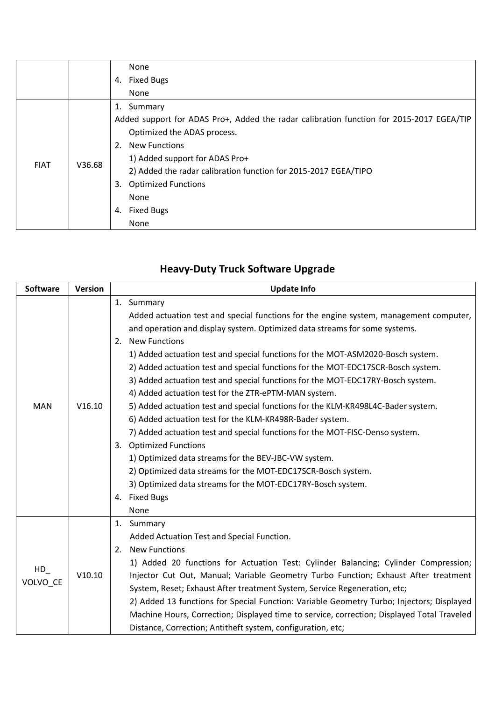|             |        | None                                                                                     |
|-------------|--------|------------------------------------------------------------------------------------------|
|             |        | <b>Fixed Bugs</b><br>4.                                                                  |
|             |        | None                                                                                     |
|             |        | Summary<br>1.                                                                            |
|             | V36.68 | Added support for ADAS Pro+, Added the radar calibration function for 2015-2017 EGEA/TIP |
|             |        | Optimized the ADAS process.                                                              |
|             |        | <b>New Functions</b><br>2.                                                               |
|             |        | 1) Added support for ADAS Pro+                                                           |
| <b>FIAT</b> |        | 2) Added the radar calibration function for 2015-2017 EGEA/TIPO                          |
|             |        | <b>Optimized Functions</b><br>3.                                                         |
|             |        | None                                                                                     |
|             |        | <b>Fixed Bugs</b><br>4.                                                                  |
|             |        | None                                                                                     |

| <b>Software</b>   | <b>Version</b> | <b>Update Info</b>                                                                         |
|-------------------|----------------|--------------------------------------------------------------------------------------------|
|                   |                | 1. Summary                                                                                 |
|                   |                | Added actuation test and special functions for the engine system, management computer,     |
|                   |                | and operation and display system. Optimized data streams for some systems.                 |
|                   |                | <b>New Functions</b><br>2.                                                                 |
|                   |                | 1) Added actuation test and special functions for the MOT-ASM2020-Bosch system.            |
|                   |                | 2) Added actuation test and special functions for the MOT-EDC17SCR-Bosch system.           |
|                   |                | 3) Added actuation test and special functions for the MOT-EDC17RY-Bosch system.            |
|                   |                | 4) Added actuation test for the ZTR-ePTM-MAN system.                                       |
| <b>MAN</b>        | V16.10         | 5) Added actuation test and special functions for the KLM-KR498L4C-Bader system.           |
|                   |                | 6) Added actuation test for the KLM-KR498R-Bader system.                                   |
|                   |                | 7) Added actuation test and special functions for the MOT-FISC-Denso system.               |
|                   |                | <b>Optimized Functions</b><br>3.                                                           |
|                   |                | 1) Optimized data streams for the BEV-JBC-VW system.                                       |
|                   |                | 2) Optimized data streams for the MOT-EDC17SCR-Bosch system.                               |
|                   |                | 3) Optimized data streams for the MOT-EDC17RY-Bosch system.                                |
|                   |                | 4. Fixed Bugs                                                                              |
|                   |                | None                                                                                       |
|                   |                | 1. Summary                                                                                 |
|                   | V10.10         | Added Actuation Test and Special Function.                                                 |
|                   |                | <b>New Functions</b><br>2.                                                                 |
|                   |                | 1) Added 20 functions for Actuation Test: Cylinder Balancing; Cylinder Compression;        |
| $HD_$<br>VOLVO_CE |                | Injector Cut Out, Manual; Variable Geometry Turbo Function; Exhaust After treatment        |
|                   |                | System, Reset; Exhaust After treatment System, Service Regeneration, etc;                  |
|                   |                | 2) Added 13 functions for Special Function: Variable Geometry Turbo; Injectors; Displayed  |
|                   |                | Machine Hours, Correction; Displayed time to service, correction; Displayed Total Traveled |
|                   |                | Distance, Correction; Antitheft system, configuration, etc;                                |

## **Heavy-Duty Truck Software Upgrade**